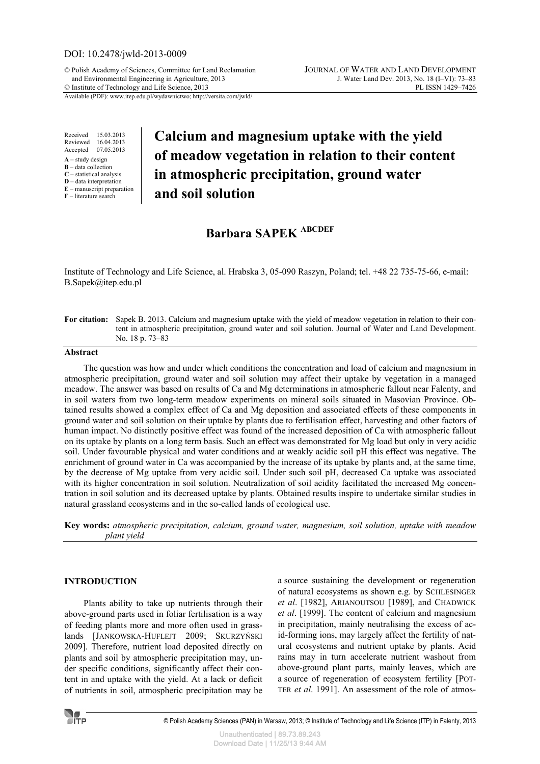# DOI: 10.2478/jwld-2013-0009

© Polish Academy of Sciences, Committee for Land Reclamation JOURNAL OF WATER AND LAND DEVELOPMENT  $©$  Institute of Technology and Life Science, 2013

Available (PDF): www.itep.edu.pl/wydawnictwo; http://versita.com/jwld/

Received 15.03.2013 Reviewed 16.04.2013 Accepted 07.05.2013

- **A** study design
- **B** data collection
- **C** statistical analysis **D** – data interpretation
- **E** manuscript preparation
- **F** literature search

# **Calcium and magnesium uptake with the yield of meadow vegetation in relation to their content in atmospheric precipitation, ground water and soil solution**

# **Barbara SAPEK ABCDEF**

Institute of Technology and Life Science, al. Hrabska 3, 05-090 Raszyn, Poland; tel. +48 22 735-75-66, e-mail: B.Sapek@itep.edu.pl

**For citation:** Sapek B. 2013. Calcium and magnesium uptake with the yield of meadow vegetation in relation to their content in atmospheric precipitation, ground water and soil solution. Journal of Water and Land Development. No. 18 p. 73–83

### **Abstract**

The question was how and under which conditions the concentration and load of calcium and magnesium in atmospheric precipitation, ground water and soil solution may affect their uptake by vegetation in a managed meadow. The answer was based on results of Ca and Mg determinations in atmospheric fallout near Falenty, and in soil waters from two long-term meadow experiments on mineral soils situated in Masovian Province. Obtained results showed a complex effect of Ca and Mg deposition and associated effects of these components in ground water and soil solution on their uptake by plants due to fertilisation effect, harvesting and other factors of human impact. No distinctly positive effect was found of the increased deposition of Ca with atmospheric fallout on its uptake by plants on a long term basis. Such an effect was demonstrated for Mg load but only in very acidic soil. Under favourable physical and water conditions and at weakly acidic soil pH this effect was negative. The enrichment of ground water in Ca was accompanied by the increase of its uptake by plants and, at the same time, by the decrease of Mg uptake from very acidic soil. Under such soil pH, decreased Ca uptake was associated with its higher concentration in soil solution. Neutralization of soil acidity facilitated the increased Mg concentration in soil solution and its decreased uptake by plants. Obtained results inspire to undertake similar studies in natural grassland ecosystems and in the so-called lands of ecological use.

**Key words:** *atmospheric precipitation, calcium, ground water, magnesium, soil solution, uptake with meadow plant yield*

#### **INTRODUCTION**

Plants ability to take up nutrients through their above-ground parts used in foliar fertilisation is a way of feeding plants more and more often used in grasslands [JANKOWSKA-HUFLEJT 2009; SKURZYŃSKI 2009]. Therefore, nutrient load deposited directly on plants and soil by atmospheric precipitation may, under specific conditions, significantly affect their content in and uptake with the yield. At a lack or deficit of nutrients in soil, atmospheric precipitation may be a source sustaining the development or regeneration of natural ecosystems as shown e.g. by SCHLESINGER *et al*. [1982], ARIANOUTSOU [1989], and CHADWICK *et al*. [1999]. The content of calcium and magnesium in precipitation, mainly neutralising the excess of acid-forming ions, may largely affect the fertility of natural ecosystems and nutrient uptake by plants. Acid rains may in turn accelerate nutrient washout from above-ground plant parts, mainly leaves, which are a source of regeneration of ecosystem fertility [POT-TER *et al*. 1991]. An assessment of the role of atmos-

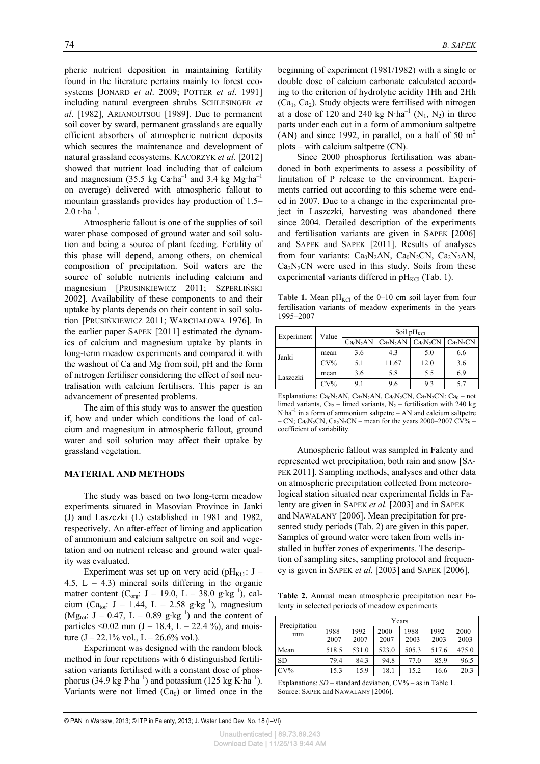pheric nutrient deposition in maintaining fertility found in the literature pertains mainly to forest ecosystems [JONARD *et al*. 2009; POTTER *et al*. 1991] including natural evergreen shrubs SCHLESINGER *et al*. [1982], ARIANOUTSOU [1989]. Due to permanent soil cover by sward, permanent grasslands are equally efficient absorbers of atmospheric nutrient deposits which secures the maintenance and development of natural grassland ecosystems. KACORZYK *et al*. [2012] showed that nutrient load including that of calcium and magnesium (35.5 kg Ca·ha<sup>-1</sup> and 3.4 kg Mg·ha<sup>-1</sup> on average) delivered with atmospheric fallout to mountain grasslands provides hay production of 1.5– 2.0 t $\cdot$ ha<sup>-1</sup>.

Atmospheric fallout is one of the supplies of soil water phase composed of ground water and soil solution and being a source of plant feeding. Fertility of this phase will depend, among others, on chemical composition of precipitation. Soil waters are the source of soluble nutrients including calcium and magnesium [PRUSINKIEWICZ 2011; SZPERLIŃSKI 2002]. Availability of these components to and their uptake by plants depends on their content in soil solution [PRUSIŃKIEWICZ 2011; WARCHAŁOWA 1976]. In the earlier paper SAPEK [2011] estimated the dynamics of calcium and magnesium uptake by plants in long-term meadow experiments and compared it with the washout of Ca and Mg from soil, pH and the form of nitrogen fertiliser considering the effect of soil neutralisation with calcium fertilisers. This paper is an advancement of presented problems.

The aim of this study was to answer the question if, how and under which conditions the load of calcium and magnesium in atmospheric fallout, ground water and soil solution may affect their uptake by grassland vegetation.

#### **MATERIAL AND METHODS**

The study was based on two long-term meadow experiments situated in Masovian Province in Janki (J) and Laszczki (L) established in 1981 and 1982, respectively. An after-effect of liming and application of ammonium and calcium saltpetre on soil and vegetation and on nutrient release and ground water quality was evaluated.

Experiment was set up on very acid (pH<sub>KCl</sub>: J – 4.5,  $L - 4.3$ ) mineral soils differing in the organic matter content ( $C_{org}$ : J – 19.0, L – 38.0 g·kg<sup>-1</sup>), calcium (Ca<sub>tot</sub>: J – 1.44, L – 2.58 g·kg<sup>-1</sup>), magnesium  $(Mg_{\text{tot}}: J - 0.47, L - 0.89 \text{ g} \cdot \text{kg}^{-1})$  and the content of particles <0.02 mm  $(J - 18.4, L - 22.4)$ %, and moisture  $(J - 22.1\% \text{ vol.}, L - 26.6\% \text{ vol.}).$ 

Experiment was designed with the random block method in four repetitions with 6 distinguished fertilisation variants fertilised with a constant dose of phosphorus (34.9 kg P·ha<sup>-1</sup>) and potassium (125 kg K·ha<sup>-1</sup>). Variants were not limed  $(Ca_0)$  or limed once in the beginning of experiment (1981/1982) with a single or double dose of calcium carbonate calculated according to the criterion of hydrolytic acidity 1Hh and 2Hh  $(Ca_1, Ca_2)$ . Study objects were fertilised with nitrogen at a dose of 120 and 240 kg  $N \cdot ha^{-1}$  ( $N_1, N_2$ ) in three parts under each cut in a form of ammonium saltpetre (AN) and since 1992, in parallel, on a half of 50  $m<sup>2</sup>$ plots – with calcium saltpetre (CN).

Since 2000 phosphorus fertilisation was abandoned in both experiments to assess a possibility of limitation of P release to the environment. Experiments carried out according to this scheme were ended in 2007. Due to a change in the experimental project in Laszczki, harvesting was abandoned there since 2004. Detailed description of the experiments and fertilisation variants are given in SAPEK [2006] and SAPEK and SAPEK [2011]. Results of analyses from four variants:  $Ca<sub>0</sub>N<sub>2</sub>AN$ ,  $Ca<sub>0</sub>N<sub>2</sub>CN$ ,  $Ca<sub>2</sub>N<sub>2</sub>AN$ ,  $Ca<sub>2</sub>N<sub>2</sub>CN$  were used in this study. Soils from these experimental variants differed in  $pH_{\text{KCl}}$  (Tab. 1).

Table 1. Mean  $pH_{\text{KCl}}$  of the 0–10 cm soil layer from four fertilisation variants of meadow experiments in the years 1995–2007

| Experiment | Value  | Soil $pH_{\text{KCl}}$ |                                         |      |                                   |  |  |  |
|------------|--------|------------------------|-----------------------------------------|------|-----------------------------------|--|--|--|
|            |        |                        | $Ca_0N_2AN$   $Ca_2N_2AN$   $Ca_0N_2CN$ |      | Ca <sub>2</sub> N <sub>2</sub> CN |  |  |  |
| Janki      | mean   | 3.6                    | 4.3                                     | 5.0  | 6.6                               |  |  |  |
|            | $CV\%$ | 5.1                    | 11.67                                   | 12.0 | 3.6                               |  |  |  |
| Laszczki   | mean   | 3.6                    | 5.8                                     | 5.5  | 6.9                               |  |  |  |
|            | $CV\%$ | 9.1                    | 9.6                                     | 9.3  | 5.7                               |  |  |  |

Explanations:  $Ca_0N_2AN$ ,  $Ca_2N_2AN$ ,  $Ca_0N_2CN$ ,  $Ca_2N_2CN$ :  $Ca_0 - not$ limed variants, Ca<sub>2</sub> – limed variants, N<sub>2</sub> – fertilisation with 240 kg  $N·ha^{-1}$  in a form of ammonium saltpetre – AN and calcium saltpetre – CN; Ca<sub>0</sub>N<sub>2</sub>CN, Ca<sub>2</sub>N<sub>2</sub>CN – mean for the years 2000–2007 CV% – coefficient of variability.

Atmospheric fallout was sampled in Falenty and represented wet precipitation, both rain and snow [SA-PEK 2011]. Sampling methods, analyses and other data on atmospheric precipitation collected from meteorological station situated near experimental fields in Falenty are given in SAPEK *et al.* [2003] and in SAPEK and NAWALANY [2006]. Mean precipitation for presented study periods (Tab. 2) are given in this paper. Samples of ground water were taken from wells installed in buffer zones of experiments. The description of sampling sites, sampling protocol and frequency is given in SAPEK *et al.* [2003] and SAPEK [2006].

**Table 2.** Annual mean atmospheric precipitation near Falenty in selected periods of meadow experiments

| Precipitation<br>mm | Years |          |          |       |       |          |  |  |
|---------------------|-------|----------|----------|-------|-------|----------|--|--|
|                     | 1988- | $1992 -$ | $2000 -$ | 1988- | 1992- | $2000 -$ |  |  |
|                     | 2007  | 2007     | 2007     | 2003  | 2003  | 2003     |  |  |
| Mean                | 518.5 | 531.0    | 523.0    | 505.3 | 517.6 | 475.0    |  |  |
| <b>SD</b>           | 79.4  | 84.3     | 94.8     | 77.0  | 85.9  | 96.5     |  |  |
| $CV\%$              | 15.3  | 15.9     | 18.1     | 15.2  | 16.6  | 20.3     |  |  |

Explanations: *SD* – standard deviation, CV% – as in Table 1. Source: SAPEK and NAWALANY [2006].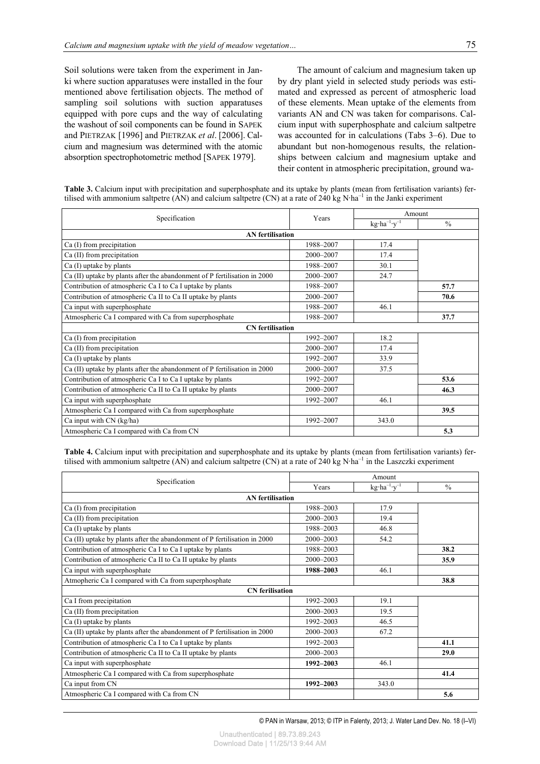Soil solutions were taken from the experiment in Janki where suction apparatuses were installed in the four mentioned above fertilisation objects. The method of sampling soil solutions with suction apparatuses equipped with pore cups and the way of calculating the washout of soil components can be found in SAPEK and PIETRZAK [1996] and PIETRZAK *et al*. [2006]. Calcium and magnesium was determined with the atomic absorption spectrophotometric method [SAPEK 1979].

The amount of calcium and magnesium taken up by dry plant yield in selected study periods was estimated and expressed as percent of atmospheric load of these elements. Mean uptake of the elements from variants AN and CN was taken for comparisons. Calcium input with superphosphate and calcium saltpetre was accounted for in calculations (Tabs 3–6). Due to abundant but non-homogenous results, the relationships between calcium and magnesium uptake and their content in atmospheric precipitation, ground wa-

| Table 3. Calcium input with precipitation and superphosphate and its uptake by plants (mean from fertilisation variants) fer-    |
|----------------------------------------------------------------------------------------------------------------------------------|
| tilised with ammonium saltpetre (AN) and calcium saltpetre (CN) at a rate of 240 kg $N$ ha <sup>-1</sup> in the Janki experiment |

| Specification                                                             | Years     | Amount                          |               |  |  |  |  |
|---------------------------------------------------------------------------|-----------|---------------------------------|---------------|--|--|--|--|
|                                                                           |           | $kg \cdot ha^{-1} \cdot y^{-1}$ | $\frac{0}{0}$ |  |  |  |  |
| <b>AN</b> fertilisation                                                   |           |                                 |               |  |  |  |  |
| Ca (I) from precipitation                                                 | 1988-2007 | 17.4                            |               |  |  |  |  |
| Ca (II) from precipitation                                                | 2000-2007 | 17.4                            |               |  |  |  |  |
| Ca (I) uptake by plants                                                   | 1988-2007 | 30.1                            |               |  |  |  |  |
| Ca (II) uptake by plants after the abandonment of P fertilisation in 2000 | 2000-2007 | 24.7                            |               |  |  |  |  |
| Contribution of atmospheric Ca I to Ca I uptake by plants                 | 1988-2007 |                                 | 57.7          |  |  |  |  |
| Contribution of atmospheric Ca II to Ca II uptake by plants               | 2000-2007 |                                 | 70.6          |  |  |  |  |
| Ca input with superphosphate                                              | 1988-2007 | 46.1                            |               |  |  |  |  |
| Atmospheric Ca I compared with Ca from superphosphate                     | 1988-2007 |                                 | 37.7          |  |  |  |  |
| <b>CN</b> fertilisation                                                   |           |                                 |               |  |  |  |  |
| Ca (I) from precipitation                                                 | 1992-2007 | 18.2                            |               |  |  |  |  |
| Ca (II) from precipitation                                                | 2000-2007 | 17.4                            |               |  |  |  |  |
| Ca (I) uptake by plants                                                   | 1992-2007 | 33.9                            |               |  |  |  |  |
| Ca (II) uptake by plants after the abandonment of P fertilisation in 2000 | 2000-2007 | 37.5                            |               |  |  |  |  |
| Contribution of atmospheric Ca I to Ca I uptake by plants                 | 1992-2007 |                                 | 53.6          |  |  |  |  |
| Contribution of atmospheric Ca II to Ca II uptake by plants               | 2000-2007 |                                 | 46.3          |  |  |  |  |
| Ca input with superphosphate                                              | 1992-2007 | 46.1                            |               |  |  |  |  |
| Atmospheric Ca I compared with Ca from superphosphate                     |           |                                 | 39.5          |  |  |  |  |
| Ca input with CN (kg/ha)                                                  | 1992-2007 | 343.0                           |               |  |  |  |  |
| Atmospheric Ca I compared with Ca from CN                                 |           |                                 | 5.3           |  |  |  |  |

**Table 4.** Calcium input with precipitation and superphosphate and its uptake by plants (mean from fertilisation variants) fertilised with ammonium saltpetre (AN) and calcium saltpetre (CN) at a rate of 240 kg N·ha<sup>-1</sup> in the Laszczki experiment

| Specification                                                             |           | Amount                          |               |  |  |  |  |  |
|---------------------------------------------------------------------------|-----------|---------------------------------|---------------|--|--|--|--|--|
|                                                                           | Years     | $kg \cdot ha^{-1} \cdot y^{-1}$ | $\frac{0}{0}$ |  |  |  |  |  |
| <b>AN</b> fertilisation                                                   |           |                                 |               |  |  |  |  |  |
| Ca (I) from precipitation                                                 | 1988-2003 | 17.9                            |               |  |  |  |  |  |
| Ca (II) from precipitation                                                | 2000-2003 | 19.4                            |               |  |  |  |  |  |
| Ca (I) uptake by plants                                                   | 1988-2003 | 46.8                            |               |  |  |  |  |  |
| Ca (II) uptake by plants after the abandonment of P fertilisation in 2000 | 2000-2003 | 54.2                            |               |  |  |  |  |  |
| Contribution of atmospheric Ca I to Ca I uptake by plants                 | 1988-2003 |                                 | 38.2          |  |  |  |  |  |
| Contribution of atmospheric Ca II to Ca II uptake by plants               | 2000-2003 |                                 | 35.9          |  |  |  |  |  |
| Ca input with superphosphate                                              | 1988-2003 | 46.1                            |               |  |  |  |  |  |
| Atmopheric Ca I compared with Ca from superphosphate                      |           |                                 | 38.8          |  |  |  |  |  |
| <b>CN</b> ferilisation                                                    |           |                                 |               |  |  |  |  |  |
| Ca I from precipitation                                                   | 1992-2003 | 19.1                            |               |  |  |  |  |  |
| Ca (II) from precipitation                                                | 2000-2003 | 19.5                            |               |  |  |  |  |  |
| Ca (I) uptake by plants                                                   | 1992-2003 | 46.5                            |               |  |  |  |  |  |
| Ca (II) uptake by plants after the abandonment of P fertilisation in 2000 | 2000-2003 | 67.2                            |               |  |  |  |  |  |
| Contribution of atmospheric Ca I to Ca I uptake by plants                 | 1992-2003 |                                 | 41.1          |  |  |  |  |  |
| Contribution of atmospheric Ca II to Ca II uptake by plants               | 2000-2003 |                                 | 29.0          |  |  |  |  |  |
| Ca input with superphosphate                                              | 1992-2003 | 46.1                            |               |  |  |  |  |  |
| Atmospheric Ca I compared with Ca from superphosphate                     |           |                                 | 41.4          |  |  |  |  |  |
| Ca input from CN                                                          | 1992-2003 | 343.0                           |               |  |  |  |  |  |
| Atmospheric Ca I compared with Ca from CN                                 |           |                                 | 5.6           |  |  |  |  |  |

© PAN in Warsaw, 2013; © ITP in Falenty, 2013; J. Water Land Dev. No. 18 (I–VI)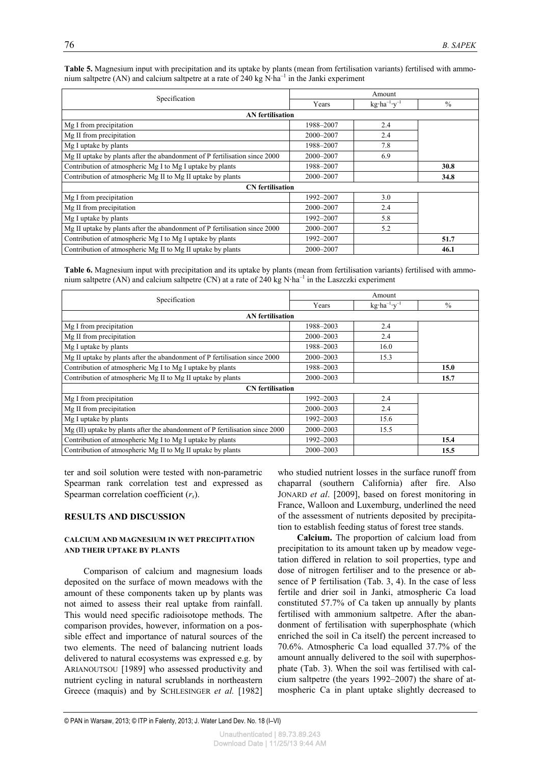|                                                                            | Amount    |                                 |               |  |  |
|----------------------------------------------------------------------------|-----------|---------------------------------|---------------|--|--|
| Specification                                                              | Years     | $kg \cdot ha^{-1} \cdot v^{-1}$ | $\frac{0}{0}$ |  |  |
| <b>AN</b> fertilisation                                                    |           |                                 |               |  |  |
| Mg I from precipitation                                                    | 1988-2007 | 2.4                             |               |  |  |
| Mg II from precipitation                                                   | 2000-2007 | 2.4                             |               |  |  |
| Mg I uptake by plants                                                      | 1988-2007 | 7.8                             |               |  |  |
| Mg II uptake by plants after the abandonment of P fertilisation since 2000 | 2000-2007 | 6.9                             |               |  |  |
| Contribution of atmospheric Mg I to Mg I uptake by plants                  | 1988-2007 |                                 | 30.8          |  |  |
| Contribution of atmospheric Mg II to Mg II uptake by plants                | 2000-2007 |                                 | 34.8          |  |  |
| <b>CN</b> fertilisation                                                    |           |                                 |               |  |  |
| Mg I from precipitation                                                    | 1992-2007 | 3.0                             |               |  |  |
| Mg II from precipitation                                                   | 2000-2007 | 2.4                             |               |  |  |
| Mg I uptake by plants                                                      | 1992-2007 | 5.8                             |               |  |  |
| Mg II uptake by plants after the abandonment of P fertilisation since 2000 | 2000-2007 | 5.2                             |               |  |  |
| Contribution of atmospheric Mg I to Mg I uptake by plants                  | 1992-2007 |                                 | 51.7          |  |  |
| Contribution of atmospheric Mg II to Mg II uptake by plants                | 2000-2007 |                                 | 46.1          |  |  |

**Table 5.** Magnesium input with precipitation and its uptake by plants (mean from fertilisation variants) fertilised with ammonium saltpetre (AN) and calcium saltpetre at a rate of 240 kg  $N \cdot ha^{-1}$  in the Janki experiment

**Table 6.** Magnesium input with precipitation and its uptake by plants (mean from fertilisation variants) fertilised with ammonium saltpetre (AN) and calcium saltpetre (CN) at a rate of 240 kg N·ha<sup>-1</sup> in the Laszczki experiment

| Specification                                                                | Amount    |                                 |               |  |  |  |  |
|------------------------------------------------------------------------------|-----------|---------------------------------|---------------|--|--|--|--|
|                                                                              | Years     | $kg \cdot ha^{-1} \cdot y^{-1}$ | $\frac{0}{0}$ |  |  |  |  |
| <b>AN</b> fertilisation                                                      |           |                                 |               |  |  |  |  |
| Mg I from precipitation                                                      | 1988-2003 | 2.4                             |               |  |  |  |  |
| Mg II from precipitation                                                     | 2000-2003 | 2.4                             |               |  |  |  |  |
| Mg I uptake by plants                                                        | 1988-2003 | 16.0                            |               |  |  |  |  |
| Mg II uptake by plants after the abandonment of P fertilisation since 2000   | 2000-2003 | 15.3                            |               |  |  |  |  |
| Contribution of atmospheric Mg I to Mg I uptake by plants                    | 1988-2003 |                                 | 15.0          |  |  |  |  |
| Contribution of atmospheric Mg II to Mg II uptake by plants                  | 2000-2003 | 15.7                            |               |  |  |  |  |
| <b>CN</b> fertilisation                                                      |           |                                 |               |  |  |  |  |
| Mg I from precipitation                                                      | 1992-2003 | 2.4                             |               |  |  |  |  |
| Mg II from precipitation                                                     | 2000-2003 | 2.4                             |               |  |  |  |  |
| Mg I uptake by plants                                                        | 1992-2003 | 15.6                            |               |  |  |  |  |
| Mg (II) uptake by plants after the abandonment of P fertilisation since 2000 | 2000-2003 | 15.5                            |               |  |  |  |  |
| Contribution of atmospheric Mg I to Mg I uptake by plants                    | 1992-2003 |                                 | 15.4          |  |  |  |  |
| Contribution of atmospheric Mg II to Mg II uptake by plants                  | 2000-2003 |                                 | 15.5          |  |  |  |  |

ter and soil solution were tested with non-parametric Spearman rank correlation test and expressed as Spearman correlation coefficient (*rs*).

# **RESULTS AND DISCUSSION**

#### **CALCIUM AND MAGNESIUM IN WET PRECIPITATION AND THEIR UPTAKE BY PLANTS**

Comparison of calcium and magnesium loads deposited on the surface of mown meadows with the amount of these components taken up by plants was not aimed to assess their real uptake from rainfall. This would need specific radioisotope methods. The comparison provides, however, information on a possible effect and importance of natural sources of the two elements. The need of balancing nutrient loads delivered to natural ecosystems was expressed e.g. by ARIANOUTSOU [1989] who assessed productivity and nutrient cycling in natural scrublands in northeastern Greece (maquis) and by SCHLESINGER *et al.* [1982] who studied nutrient losses in the surface runoff from chaparral (southern California) after fire. Also JONARD *et al*. [2009], based on forest monitoring in France, Walloon and Luxemburg, underlined the need of the assessment of nutrients deposited by precipitation to establish feeding status of forest tree stands.

**Calcium.** The proportion of calcium load from precipitation to its amount taken up by meadow vegetation differed in relation to soil properties, type and dose of nitrogen fertiliser and to the presence or absence of P fertilisation (Tab. 3, 4). In the case of less fertile and drier soil in Janki, atmospheric Ca load constituted 57.7% of Ca taken up annually by plants fertilised with ammonium saltpetre. After the abandonment of fertilisation with superphosphate (which enriched the soil in Ca itself) the percent increased to 70.6%. Atmospheric Ca load equalled 37.7% of the amount annually delivered to the soil with superphosphate (Tab. 3). When the soil was fertilised with calcium saltpetre (the years 1992–2007) the share of atmospheric Ca in plant uptake slightly decreased to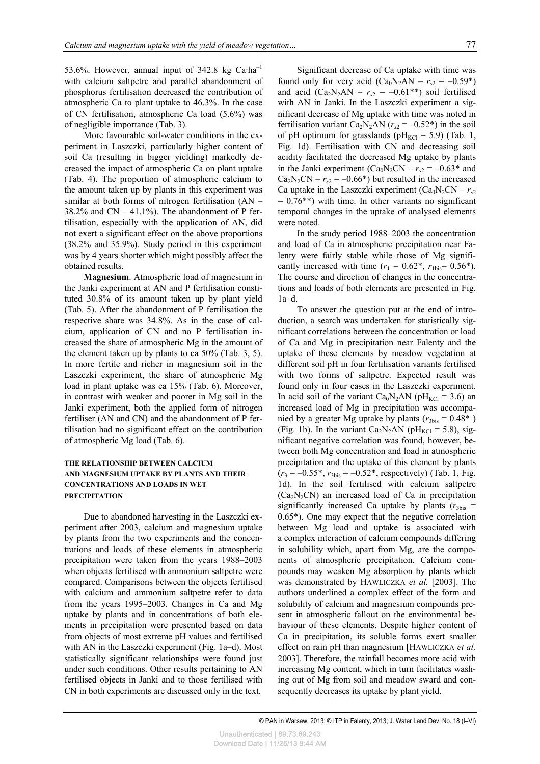53.6%. However, annual input of 342.8 kg Ca·ha–1 with calcium saltpetre and parallel abandonment of phosphorus fertilisation decreased the contribution of atmospheric Ca to plant uptake to 46.3%. In the case of CN fertilisation, atmospheric Ca load (5.6%) was of negligible importance (Tab. 3).

More favourable soil-water conditions in the experiment in Laszczki, particularly higher content of soil Ca (resulting in bigger yielding) markedly decreased the impact of atmospheric Ca on plant uptake (Tab. 4). The proportion of atmospheric calcium to the amount taken up by plants in this experiment was similar at both forms of nitrogen fertilisation (AN –  $38.2\%$  and CN – 41.1%). The abandonment of P fertilisation, especially with the application of AN, did not exert a significant effect on the above proportions (38.2% and 35.9%). Study period in this experiment was by 4 years shorter which might possibly affect the obtained results.

**Magnesium**. Atmospheric load of magnesium in the Janki experiment at AN and P fertilisation constituted 30.8% of its amount taken up by plant yield (Tab. 5). After the abandonment of P fertilisation the respective share was 34.8%. As in the case of calcium, application of CN and no P fertilisation increased the share of atmospheric Mg in the amount of the element taken up by plants to ca 50% (Tab. 3, 5). In more fertile and richer in magnesium soil in the Laszczki experiment, the share of atmospheric Mg load in plant uptake was ca 15% (Tab. 6). Moreover, in contrast with weaker and poorer in Mg soil in the Janki experiment, both the applied form of nitrogen fertiliser (AN and CN) and the abandonment of P fertilisation had no significant effect on the contribution of atmospheric Mg load (Tab. 6).

# **THE RELATIONSHIP BETWEEN CALCIUM AND MAGNESIUM UPTAKE BY PLANTS AND THEIR CONCENTRATIONS AND LOADS IN WET PRECIPITATION**

Due to abandoned harvesting in the Laszczki experiment after 2003, calcium and magnesium uptake by plants from the two experiments and the concentrations and loads of these elements in atmospheric precipitation were taken from the years 1988–2003 when objects fertilised with ammonium saltpetre were compared. Comparisons between the objects fertilised with calcium and ammonium saltpetre refer to data from the years 1995–2003. Changes in Ca and Mg uptake by plants and in concentrations of both elements in precipitation were presented based on data from objects of most extreme pH values and fertilised with AN in the Laszczki experiment (Fig. 1a–d). Most statistically significant relationships were found just under such conditions. Other results pertaining to AN fertilised objects in Janki and to those fertilised with CN in both experiments are discussed only in the text.

Significant decrease of Ca uptake with time was found only for very acid  $(Ca_0N_2AN - r<sub>s2</sub> = -0.59*)$ and acid  $(Ca_2N_2AN - r<sub>s2</sub> = -0.61**)$  soil fertilised with AN in Janki. In the Laszczki experiment a significant decrease of Mg uptake with time was noted in fertilisation variant Ca<sub>2</sub>N<sub>2</sub>AN ( $r_{s2} = -0.52$ <sup>\*</sup>) in the soil of pH optimum for grasslands (pH<sub>KCl</sub> = 5.9) (Tab. 1, Fig. 1d). Fertilisation with CN and decreasing soil acidity facilitated the decreased Mg uptake by plants in the Janki experiment  $(Ca_0N_2CN - r_{s2} = -0.63*$  and  $Ca<sub>2</sub>N<sub>2</sub>CN - r<sub>s2</sub> = -0.66*)$  but resulted in the increased Ca uptake in the Laszczki experiment  $(Ca_0N_2CN - r_{s2})$  $= 0.76$ <sup>\*\*</sup>) with time. In other variants no significant temporal changes in the uptake of analysed elements were noted.

In the study period 1988–2003 the concentration and load of Ca in atmospheric precipitation near Falenty were fairly stable while those of Mg significantly increased with time  $(r_1 = 0.62^*, r_{\text{1bis}} = 0.56^*)$ . The course and direction of changes in the concentrations and loads of both elements are presented in Fig. 1a–d.

To answer the question put at the end of introduction, a search was undertaken for statistically significant correlations between the concentration or load of Ca and Mg in precipitation near Falenty and the uptake of these elements by meadow vegetation at different soil pH in four fertilisation variants fertilised with two forms of saltpetre. Expected result was found only in four cases in the Laszczki experiment. In acid soil of the variant Ca<sub>0</sub>N<sub>2</sub>AN ( $pH_{KCl}$  = 3.6) an increased load of Mg in precipitation was accompanied by a greater Mg uptake by plants ( $r_{3bis} = 0.48*$ ) (Fig. 1b). In the variant Ca<sub>2</sub>N<sub>2</sub>AN (pH<sub>KCl</sub> = 5.8), significant negative correlation was found, however, between both Mg concentration and load in atmospheric precipitation and the uptake of this element by plants  $(r_3 = -0.55^*$ ,  $r_{3bis} = -0.52^*$ , respectively) (Tab. 1, Fig. 1d). In the soil fertilised with calcium saltpetre  $(Ca<sub>2</sub>N<sub>2</sub>CN)$  an increased load of Ca in precipitation significantly increased Ca uptake by plants  $(r_{3bis} =$ 0.65\*). One may expect that the negative correlation between Mg load and uptake is associated with a complex interaction of calcium compounds differing in solubility which, apart from Mg, are the components of atmospheric precipitation. Calcium compounds may weaken Mg absorption by plants which was demonstrated by HAWLICZKA *et al.* [2003]. The authors underlined a complex effect of the form and solubility of calcium and magnesium compounds present in atmospheric fallout on the environmental behaviour of these elements. Despite higher content of Ca in precipitation, its soluble forms exert smaller effect on rain pH than magnesium [HAWLICZKA *et al.* 2003]. Therefore, the rainfall becomes more acid with increasing Mg content, which in turn facilitates washing out of Mg from soil and meadow sward and consequently decreases its uptake by plant yield.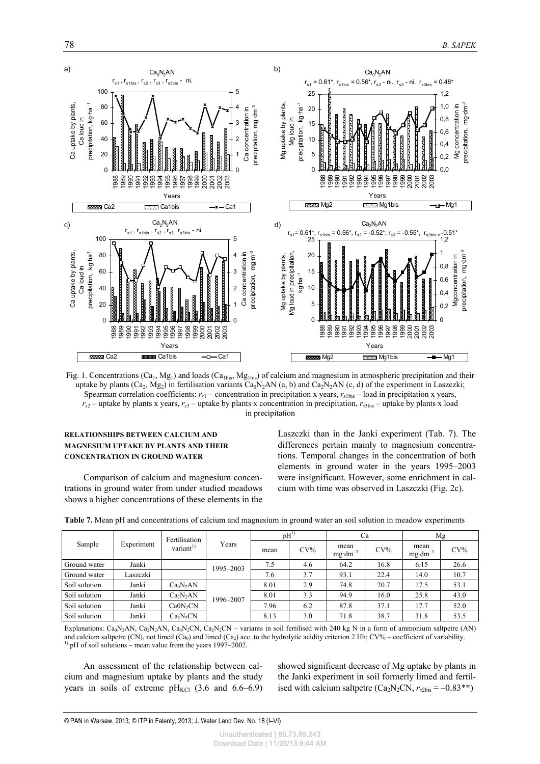

Fig. 1. Concentrations  $(Ca_1, Mg_1)$  and loads  $(Ca_{1bis}, Mg_{1bis})$  of calcium and magnesium in atmospheric precipitation and their uptake by plants (Ca<sub>2</sub>, Mg<sub>2</sub>) in fertilisation variants Ca<sub>0</sub>N<sub>2</sub>AN (a, b) and Ca<sub>2</sub>N<sub>2</sub>AN (c, d) of the experiment in Laszczki; Spearman correlation coefficients:  $r_{s1}$  – concentration in precipitation x years,  $r_{s1bs}$  – load in precipitation x years,  $r_{s2}$  – uptake by plants x years,  $r_{s3}$  – uptake by plants x concentration in precipitation,  $r_{s3bis}$  – uptake by plants x load in precipitation

#### **RELATIONSHIPS BETWEEN CALCIUM AND MAGNESIUM UPTAKE BY PLANTS AND THEIR CONCENTRATION IN GROUND WATER**

Comparison of calcium and magnesium concentrations in ground water from under studied meadows shows a higher concentrations of these elements in the Laszczki than in the Janki experiment (Tab. 7). The differences pertain mainly to magnesium concentrations. Temporal changes in the concentration of both elements in ground water in the years 1995–2003 were insignificant. However, some enrichment in calcium with time was observed in Laszczki (Fig. 2c).

| Sample        | Experiment | Fertilisation<br>variant <sup>1)</sup> | Years     | $pH^{1}$ |        | Ca                         |        | Mg                      |        |
|---------------|------------|----------------------------------------|-----------|----------|--------|----------------------------|--------|-------------------------|--------|
|               |            |                                        |           | mean     | $CV\%$ | mean<br>$mg \cdot dm^{-3}$ | $CV\%$ | mean<br>$mg \, dm^{-3}$ | $CV\%$ |
| Ground water  | Janki      |                                        | 1995-2003 | 7.5      | 4.6    | 64.2                       | 16.8   | 6.15                    | 26.6   |
| Ground water  | Laszczki   |                                        |           | 7.6      | 3.7    | 93.1                       | 22.4   | 14.0                    | 10.7   |
| Soil solution | Janki      | Ca <sub>0</sub> N <sub>2</sub> AN      |           | 8.01     | 2.9    | 74.8                       | 20.7   | 17.5                    | 53.1   |
| Soil solution | Janki      | Ca <sub>2</sub> N <sub>2</sub> AN      | 1996-2007 | 8.01     | 3.3    | 94.9                       | 16.0   | 25.8                    | 43.0   |
| Soil solution | Janki      | Ca0N <sub>2</sub> CN                   |           | 7.96     | 6.2    | 87.8                       | 37.1   | 17.7                    | 52.0   |
| Soil solution | Janki      | Ca <sub>2</sub> N <sub>2</sub> CN      |           | 8.13     | 3.0    | 71.8                       | 38.7   | 31.8                    | 53.5   |

|  | <b>Table 7.</b> Mean pH and concentrations of calcium and magnesium in ground water an soil solution in meadow experiments |  |  |  |  |
|--|----------------------------------------------------------------------------------------------------------------------------|--|--|--|--|
|  |                                                                                                                            |  |  |  |  |

Explanations: Ca<sub>0</sub>N<sub>2</sub>AN, Ca<sub>2</sub>N<sub>2</sub>AN, Ca<sub>0</sub>N<sub>2</sub>CN, Ca<sub>2</sub>N<sub>2</sub>CN – variants in soil fertilised with 240 kg N in a form of ammonium saltpetre (AN) and calcium saltpetre (CN), not limed (Ca<sub>0</sub>) and limed (Ca<sub>2</sub>) acc. to the hydrolytic acidity criterion 2 Hh; CV% – coefficient of variability.  $^{1)}$  pH of soil solutions – mean value from the years 1997–2002.

An assessment of the relationship between calcium and magnesium uptake by plants and the study years in soils of extreme  $pH_{\text{KCl}}$  (3.6 and 6.6–6.9) showed significant decrease of Mg uptake by plants in the Janki experiment in soil formerly limed and fertilised with calcium saltpetre  $(Ca_2N_2CN, r_{s2bis} = -0.83**)$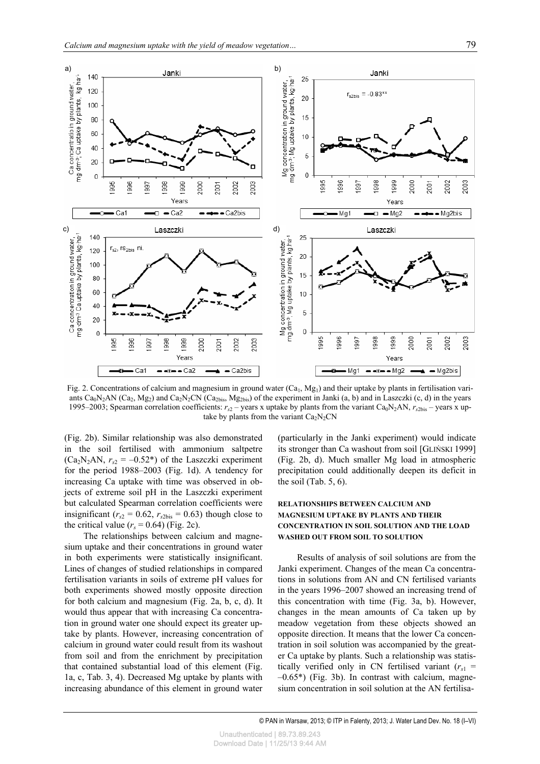

Fig. 2. Concentrations of calcium and magnesium in ground water (Ca<sub>1</sub>, Mg<sub>1</sub>) and their uptake by plants in fertilisation variants  $Ca_0N_2AN$  (Ca<sub>2</sub>, Mg<sub>2</sub>) and Ca<sub>2</sub>N<sub>2</sub>CN (Ca<sub>2bis</sub>, Mg<sub>2bis</sub>) of the experiment in Janki (a, b) and in Laszczki (c, d) in the years 1995–2003; Spearman correlation coefficients:  $r_s$  – years x uptake by plants from the variant Ca<sub>0</sub>N<sub>2</sub>AN,  $r_s$ <sub>2bis</sub> – years x uptake by plants from the variant  $Ca<sub>2</sub>N<sub>2</sub>CN$ 

(Fig. 2b). Similar relationship was also demonstrated in the soil fertilised with ammonium saltpetre  $(Ca<sub>2</sub>N<sub>2</sub>AN, r<sub>s2</sub> = -0.52*)$  of the Laszczki experiment for the period 1988–2003 (Fig. 1d). A tendency for increasing Ca uptake with time was observed in objects of extreme soil pH in the Laszczki experiment but calculated Spearman correlation coefficients were insignificant ( $r_{s2} = 0.62$ ,  $r_{s2bis} = 0.63$ ) though close to the critical value  $(r<sub>s</sub> = 0.64)$  (Fig. 2c).

The relationships between calcium and magnesium uptake and their concentrations in ground water in both experiments were statistically insignificant. Lines of changes of studied relationships in compared fertilisation variants in soils of extreme pH values for both experiments showed mostly opposite direction for both calcium and magnesium (Fig. 2a, b, c, d). It would thus appear that with increasing Ca concentration in ground water one should expect its greater uptake by plants. However, increasing concentration of calcium in ground water could result from its washout from soil and from the enrichment by precipitation that contained substantial load of this element (Fig. 1a, c, Tab. 3, 4). Decreased Mg uptake by plants with increasing abundance of this element in ground water (particularly in the Janki experiment) would indicate its stronger than Ca washout from soil [GLIŃSKI 1999] (Fig. 2b, d). Much smaller Mg load in atmospheric precipitation could additionally deepen its deficit in the soil (Tab. 5, 6).

### **RELATIONSHIPS BETWEEN CALCIUM AND MAGNESIUM UPTAKE BY PLANTS AND THEIR CONCENTRATION IN SOIL SOLUTION AND THE LOAD WASHED OUT FROM SOIL TO SOLUTION**

Results of analysis of soil solutions are from the Janki experiment. Changes of the mean Ca concentrations in solutions from AN and CN fertilised variants in the years 1996–2007 showed an increasing trend of this concentration with time (Fig. 3a, b). However, changes in the mean amounts of Ca taken up by meadow vegetation from these objects showed an opposite direction. It means that the lower Ca concentration in soil solution was accompanied by the greater Ca uptake by plants. Such a relationship was statistically verified only in CN fertilised variant  $(r<sub>s1</sub> =$  $-0.65^*$ ) (Fig. 3b). In contrast with calcium, magnesium concentration in soil solution at the AN fertilisa-

© PAN in Warsaw, 2013; © ITP in Falenty, 2013; J. Water Land Dev. No. 18 (I–VI)

Unauthenticated | 89.73.89.243 Download Date | 11/25/13 9:44 AM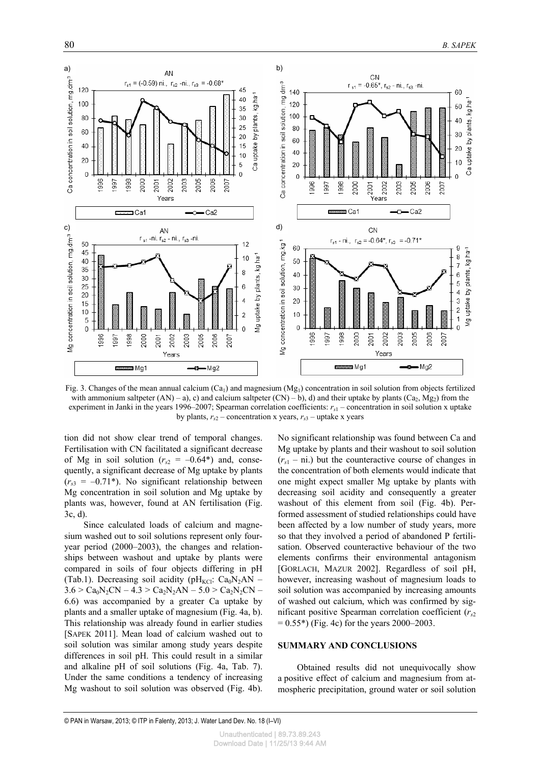

Fig. 3. Changes of the mean annual calcium  $(Ca_1)$  and magnesium  $(Mg_1)$  concentration in soil solution from objects fertilized with ammonium saltpeter  $(AN) - a$ , c) and calcium saltpeter  $(CN) - b$ , d) and their uptake by plants  $(Ca_2, Mg_2)$  from the experiment in Janki in the years 1996–2007; Spearman correlation coefficients: *rs*1 – concentration in soil solution x uptake by plants,  $r_{s2}$  – concentration x years,  $r_{s3}$  – uptake x years

tion did not show clear trend of temporal changes. Fertilisation with CN facilitated a significant decrease of Mg in soil solution  $(r<sub>s2</sub> = -0.64*)$  and, consequently, a significant decrease of Mg uptake by plants  $(r<sub>s3</sub> = -0.71<sup>*</sup>)$ . No significant relationship between Mg concentration in soil solution and Mg uptake by plants was, however, found at AN fertilisation (Fig. 3c, d).

Since calculated loads of calcium and magnesium washed out to soil solutions represent only fouryear period (2000–2003), the changes and relationships between washout and uptake by plants were compared in soils of four objects differing in pH (Tab.1). Decreasing soil acidity (pH<sub>KCl</sub>: Ca<sub>0</sub>N<sub>2</sub>AN –  $3.6 > Ca<sub>0</sub>N<sub>2</sub>CN - 4.3 > Ca<sub>2</sub>N<sub>2</sub>AN - 5.0 > Ca<sub>2</sub>N<sub>2</sub>CN -$ 6.6) was accompanied by a greater Ca uptake by plants and a smaller uptake of magnesium (Fig. 4a, b). This relationship was already found in earlier studies [SAPEK 2011]. Mean load of calcium washed out to soil solution was similar among study years despite differences in soil pH. This could result in a similar and alkaline pH of soil solutions (Fig. 4a, Tab. 7). Under the same conditions a tendency of increasing Mg washout to soil solution was observed (Fig. 4b).

No significant relationship was found between Ca and Mg uptake by plants and their washout to soil solution  $(r<sub>s1</sub> - ni)$  but the counteractive course of changes in the concentration of both elements would indicate that one might expect smaller Mg uptake by plants with decreasing soil acidity and consequently a greater washout of this element from soil (Fig. 4b). Performed assessment of studied relationships could have been affected by a low number of study years, more so that they involved a period of abandoned P fertilisation. Observed counteractive behaviour of the two elements confirms their environmental antagonism [GORLACH, MAZUR 2002]. Regardless of soil pH, however, increasing washout of magnesium loads to soil solution was accompanied by increasing amounts of washed out calcium, which was confirmed by significant positive Spearman correlation coefficient (*rs*<sup>2</sup>  $= 0.55$ \*) (Fig. 4c) for the years 2000–2003.

#### **SUMMARY AND CONCLUSIONS**

Obtained results did not unequivocally show a positive effect of calcium and magnesium from atmospheric precipitation, ground water or soil solution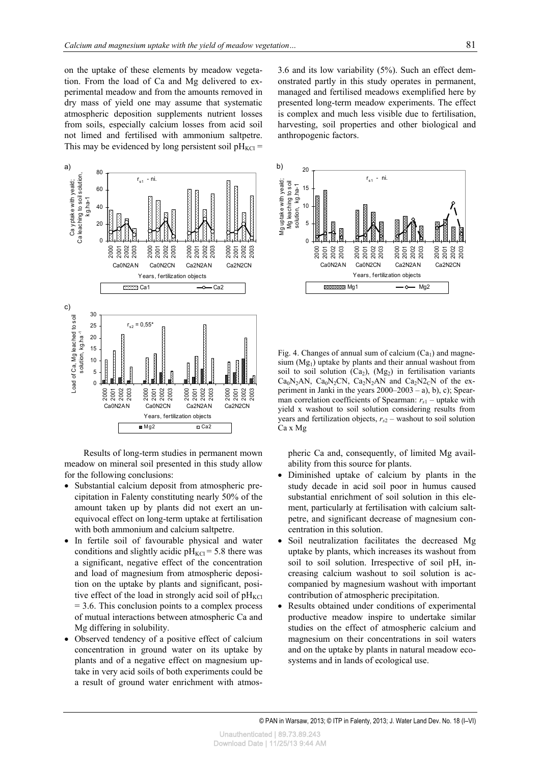on the uptake of these elements by meadow vegetation. From the load of Ca and Mg delivered to experimental meadow and from the amounts removed in dry mass of yield one may assume that systematic atmospheric deposition supplements nutrient losses from soils, especially calcium losses from acid soil not limed and fertilised with ammonium saltpetre. This may be evidenced by long persistent soil  $pH_{\text{KCl}} =$ 



Results of long-term studies in permanent mown meadow on mineral soil presented in this study allow for the following conclusions:

- Substantial calcium deposit from atmospheric precipitation in Falenty constituting nearly 50% of the amount taken up by plants did not exert an unequivocal effect on long-term uptake at fertilisation with both ammonium and calcium saltpetre.
- In fertile soil of favourable physical and water conditions and slightly acidic  $pH_{\text{KCl}} = 5.8$  there was a significant, negative effect of the concentration and load of magnesium from atmospheric deposition on the uptake by plants and significant, positive effect of the load in strongly acid soil of  $pH_{\text{KCl}}$  $= 3.6$ . This conclusion points to a complex process of mutual interactions between atmospheric Ca and Mg differing in solubility.
- Observed tendency of a positive effect of calcium concentration in ground water on its uptake by plants and of a negative effect on magnesium uptake in very acid soils of both experiments could be a result of ground water enrichment with atmos-

3.6 and its low variability (5%). Such an effect demonstrated partly in this study operates in permanent, managed and fertilised meadows exemplified here by presented long-term meadow experiments. The effect is complex and much less visible due to fertilisation, harvesting, soil properties and other biological and anthropogenic factors.



Fig. 4. Changes of annual sum of calcium  $(Ca_1)$  and magnesium  $(Mg<sub>1</sub>)$  uptake by plants and their annual washout from soil to soil solution  $(Ca_2)$ ,  $(Mg_2)$  in fertilisation variants Ca<sub>0</sub>N<sub>2</sub>AN, Ca<sub>0</sub>N<sub>2</sub>CN, Ca<sub>2</sub>N<sub>2</sub>AN and Ca<sub>2</sub>N<sub>2</sub><sub>C</sub>N of the experiment in Janki in the years 2000–2003 – a), b), c); Spearman correlation coefficients of Spearman:  $r_{s1}$  – uptake with yield x washout to soil solution considering results from years and fertilization objects,  $r_{s2}$  – washout to soil solution Ca x Mg

pheric Ca and, consequently, of limited Mg availability from this source for plants.

- Diminished uptake of calcium by plants in the study decade in acid soil poor in humus caused substantial enrichment of soil solution in this element, particularly at fertilisation with calcium saltpetre, and significant decrease of magnesium concentration in this solution.
- Soil neutralization facilitates the decreased Mg uptake by plants, which increases its washout from soil to soil solution. Irrespective of soil pH, increasing calcium washout to soil solution is accompanied by magnesium washout with important contribution of atmospheric precipitation.
- Results obtained under conditions of experimental productive meadow inspire to undertake similar studies on the effect of atmospheric calcium and magnesium on their concentrations in soil waters and on the uptake by plants in natural meadow ecosystems and in lands of ecological use.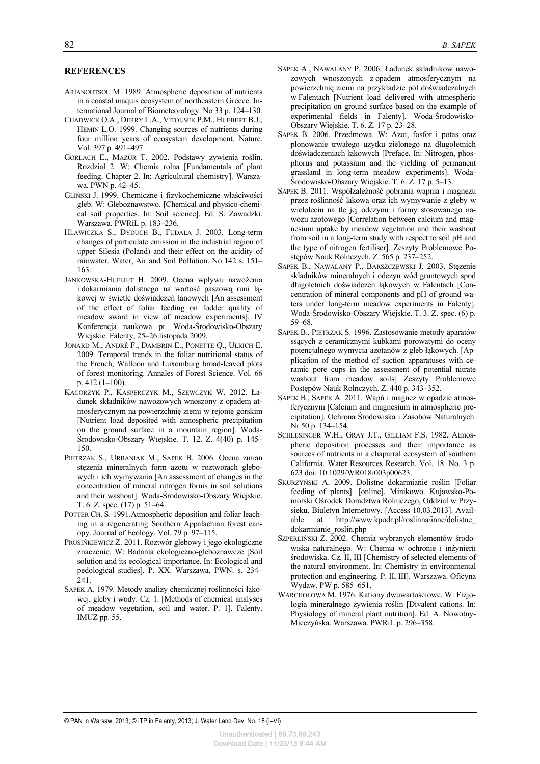#### **REFERENCES**

- ARIANOUTSOU M. 1989. Atmospheric deposition of nutrients in a coastal maquis ecosystem of northeastern Greece. International Journal of Biometeorology. No 33 p. 124–130.
- CHADWICK O.A., DERRY L.A., VITOUSEK P.M., HUEBERT B.J., HEMIN L.O. 1999. Changing sources of nutrients during four million years of ecosystem development. Nature. Vol. 397 p. 491–497.
- GORLACH E., MAZUR T. 2002. Podstawy żywienia roślin. Rozdział 2. W: Chemia rolna [Fundamentals of plant feeding. Chapter 2. In: Agricultural chemistry]. Warszawa. PWN p. 42–45.
- GLIŃSKI J. 1999. Chemiczne i fizykochemiczne właściwości gleb. W: Gleboznawstwo. [Chemical and physico-chemical soil properties. In: Soil science]. Ed. S. Zawadzki. Warszawa. PWRiL p. 183–236.
- HLAWICZKA S., DYDUCH B., FUDALA J. 2003. Long-term changes of particulate emission in the industrial region of upper Silesia (Poland) and their effect on the acidity of rainwater. Water, Air and Soil Pollution. No 142 s. 151– 163.
- JANKOWSKA-HUFLEJT H. 2009. Ocena wpływu nawożenia i dokarmiania dolistnego na wartość paszową runi łąkowej w świetle doświadczeń łanowych [An assessment of the effect of foliar feeding on fodder quality of meadow sward in view of meadow experiments]. IV Konferencja naukowa pt. Woda-Środowisko-Obszary Wiejskie. Falenty, 25–26 listopada 2009.
- JONARD M., ANDRÉ F., DAMBRIN E., PONETTE Q., ULRICH E. 2009. Temporal trends in the foliar nutritional status of the French, Walloon and Luxemburg broad-leaved plots of forest monitoring. Annales of Forest Science. Vol. 66 p. 412 (1–100).
- KACORZYK P., KASPERCZYK M., SZEWCZYK W. 2012. Ładunek składników nawozowych wnoszony z opadem atmosferycznym na powierzchnię ziemi w rejonie górskim [Nutrient load deposited with atmospheric precipitation on the ground surface in a mountain region]. Woda-Środowisko-Obszary Wiejskie. T. 12. Z. 4(40) p. 145– 150.
- PIETRZAK S., URBANIAK M., SAPEK B. 2006. Ocena zmian stężenia mineralnych form azotu w roztworach glebowych i ich wymywania [An assessment of changes in the concentration of mineral nitrogen forms in soil solutions and their washout]. Woda-Środowisko-Obszary Wiejskie. T. 6. Z. spec. (17) p. 51–64.
- POTTER CH. S. 1991.Atmospheric deposition and foliar leaching in a regenerating Southern Appalachian forest canopy. Journal of Ecology. Vol. 79 p. 97–115.
- PRUSIŃKIEWICZ Z. 2011. Roztwór glebowy i jego ekologiczne znaczenie. W: Badania ekologiczno-gleboznawcze [Soil solution and its ecological importance. In: Ecological and pedological studies]. P. XX. Warszawa. PWN. s. 234– 241.
- SAPEK A. 1979. Metody analizy chemicznej roślinności łąkowej, gleby i wody. Cz. 1. [Methods of chemical analyses of meadow vegetation, soil and water. P. 1]. Falenty. IMUZ pp. 55.
- SAPEK A., NAWALANY P. 2006. Ładunek składników nawozowych wnoszonych z opadem atmosferycznym na powierzchnię ziemi na przykładzie pól doświadczalnych w Falentach [Nutrient load delivered with atmospheric precipitation on ground surface based on the example of experimental fields in Falenty]. Woda-Środowisko-Obszary Wiejskie. T. 6. Z. 17 p. 23–28.
- SAPEK B. 2006. Przedmowa. W: Azot, fosfor i potas oraz plonowanie trwałego użytku zielonego na długoletnich doświadczeniach łąkowych [Preface. In: Nitrogen, phosphorus and potassium and the yielding of permanent grassland in long-term meadow experiments]. Woda-Środowisko-Obszary Wiejskie. T. 6. Z. 17 p. 5–13.
- SAPEK B. 2011. Współzależność pobrania wapnia i magnezu przez roślinność lakową oraz ich wymywanie z gleby w wieloleciu na tle jej odczynu i formy stosowanego nawozu azotowego [Correlation between calcium and magnesium uptake by meadow vegetation and their washout from soil in a long-term study with respect to soil pH and the type of nitrogen fertiliser]. Zeszyty Problemowe Postępów Nauk Rolnczych. Z. 565 p. 237–252.
- SAPEK B., NAWALANY P., BARSZCZEWSKI J. 2003. Stężenie składników mineralnych i odczyn wód gruntowych spod długoletnich doświadczeń łąkowych w Falentach [Concentration of mineral components and pH of ground waters under long-term meadow experiments in Falenty]. Woda-Środowisko-Obszary Wiejskie. T. 3. Z. spec. (6) p. 59–68.
- SAPEK B., PIETRZAK S. 1996. Zastosowanie metody aparatów ssących z ceramicznymi kubkami porowatymi do oceny potencjalnego wymycia azotanów z gleb łąkowych. [Application of the method of suction apparatuses with ceramic pore cups in the assessment of potential nitrate washout from meadow soils] Zeszyty Problemowe Postępów Nauk Rolnczych. Z. 440 p. 343–352.
- SAPEK B., SAPEK A. 2011. Wapń i magnez w opadzie atmosferycznym [Calcium and magnesium in atmospheric precipitation]. Ochrona Środowiska i Zasobów Naturalnych. Nr 50 p. 134–154.
- SCHLESINGER W.H., GRAY J.T., GILLIAM F.S. 1982. Atmospheric deposition processes and their importance as sources of nutrients in a chaparral ecosystem of southern California. Water Resources Research. Vol. 18. No. 3 p. 623 doi: 10.1029/WR018i003p00623.
- SKURZYŃSKI A. 2009. Dolistne dokarmianie roślin [Foliar feeding of plants]. [online]. Minikowo. Kujawsko-Pomorski Ośrodek Doradztwa Rolniczego, Oddział w Przysieku. Biuletyn Internetowy. [Access 10.03.2013]. Available at http://www.kpodr.pl/roslinna/inne/dolistne\_ dokarmianie\_roslin.php
- SZPERLIŃSKI Z. 2002. Chemia wybranych elementów środowiska naturalnego. W: Chemia w ochronie i inżynierii środowiska. Cz. II, III [Chemistry of selected elements of the natural environment. In: Chemistry in environmental protection and engineering. P. II, III]. Warszawa. Oficyna Wydaw. PW p. 585–651.
- WARCHOŁOWA M. 1976. Kationy dwuwartościowe. W: Fizjologia mineralnego żywienia roślin [Divalent cations. In: Physiology of mineral plant nutrition]. Ed. A. Nowotny-Mieczyńska. Warszawa. PWRiL p. 296–358.